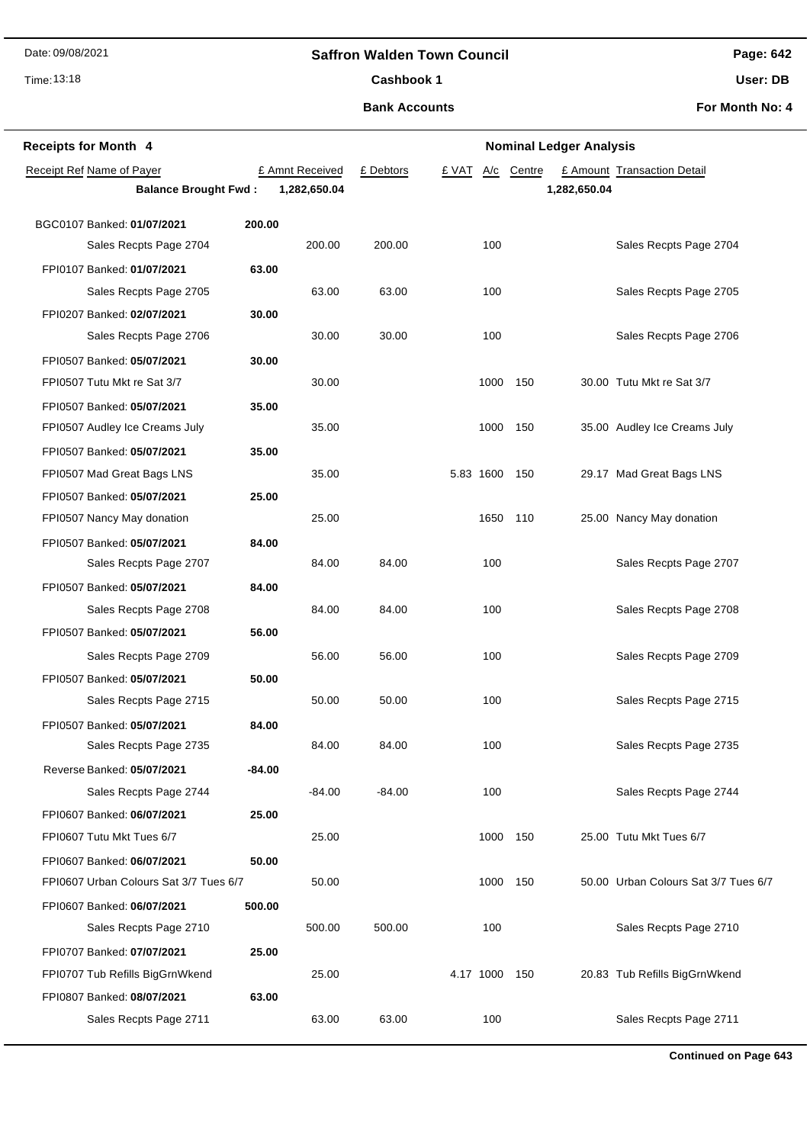## **Saffron Walden Town Council**

Time: 13:18

# **Page: 642**

**User: DB**

**Bank Accounts** Cashbook 1

**For Month No: 4**

| <b>Receipts for Month 4</b>            |        | <b>Nominal Ledger Analysis</b> |           |               |          |              |                                      |
|----------------------------------------|--------|--------------------------------|-----------|---------------|----------|--------------|--------------------------------------|
| Receipt Ref Name of Payer              |        | £ Amnt Received                | £ Debtors | £ VAT<br>A/c  | Centre   |              | £ Amount Transaction Detail          |
| <b>Balance Brought Fwd:</b>            |        | 1,282,650.04                   |           |               |          | 1,282,650.04 |                                      |
| BGC0107 Banked: 01/07/2021             | 200.00 |                                |           |               |          |              |                                      |
| Sales Recpts Page 2704                 |        | 200.00                         | 200.00    | 100           |          |              | Sales Recpts Page 2704               |
| FPI0107 Banked: 01/07/2021             | 63.00  |                                |           |               |          |              |                                      |
| Sales Recpts Page 2705                 |        | 63.00                          | 63.00     | 100           |          |              | Sales Recpts Page 2705               |
| FPI0207 Banked: 02/07/2021             | 30.00  |                                |           |               |          |              |                                      |
| Sales Recpts Page 2706                 |        | 30.00                          | 30.00     | 100           |          |              | Sales Recpts Page 2706               |
| FPI0507 Banked: 05/07/2021             | 30.00  |                                |           |               |          |              |                                      |
| FPI0507 Tutu Mkt re Sat 3/7            |        | 30.00                          |           | 1000          | 150      |              | 30.00 Tutu Mkt re Sat 3/7            |
| FPI0507 Banked: 05/07/2021             | 35.00  |                                |           |               |          |              |                                      |
| FPI0507 Audley Ice Creams July         |        | 35.00                          |           | 1000          | 150      |              | 35.00 Audley Ice Creams July         |
| FPI0507 Banked: 05/07/2021             | 35.00  |                                |           |               |          |              |                                      |
| FPI0507 Mad Great Bags LNS             |        | 35.00                          |           | 5.83 1600 150 |          |              | 29.17 Mad Great Bags LNS             |
| FPI0507 Banked: 05/07/2021             | 25.00  |                                |           |               |          |              |                                      |
| FPI0507 Nancy May donation             |        | 25.00                          |           |               | 1650 110 |              | 25.00 Nancy May donation             |
| FPI0507 Banked: 05/07/2021             | 84.00  |                                |           |               |          |              |                                      |
| Sales Recpts Page 2707                 |        | 84.00                          | 84.00     | 100           |          |              | Sales Recpts Page 2707               |
| FPI0507 Banked: 05/07/2021             | 84.00  |                                |           |               |          |              |                                      |
| Sales Recpts Page 2708                 |        | 84.00                          | 84.00     | 100           |          |              | Sales Recpts Page 2708               |
| FPI0507 Banked: 05/07/2021             | 56.00  |                                |           |               |          |              |                                      |
| Sales Recpts Page 2709                 |        | 56.00                          | 56.00     | 100           |          |              | Sales Recpts Page 2709               |
| FPI0507 Banked: 05/07/2021             | 50.00  |                                |           |               |          |              |                                      |
| Sales Recpts Page 2715                 |        | 50.00                          | 50.00     | 100           |          |              | Sales Recpts Page 2715               |
| FPI0507 Banked: 05/07/2021             | 84.00  |                                |           |               |          |              |                                      |
| Sales Recpts Page 2735                 |        | 84.00                          | 84.00     | 100           |          |              | Sales Recpts Page 2735               |
| Reverse Banked: 05/07/2021             | -84.00 |                                |           |               |          |              |                                      |
| Sales Recpts Page 2744                 |        | $-84.00$                       | $-84.00$  | 100           |          |              | Sales Recpts Page 2744               |
| FPI0607 Banked: 06/07/2021             | 25.00  |                                |           |               |          |              |                                      |
| FPI0607 Tutu Mkt Tues 6/7              |        | 25.00                          |           |               | 1000 150 |              | 25.00 Tutu Mkt Tues 6/7              |
| FPI0607 Banked: 06/07/2021             | 50.00  |                                |           |               |          |              |                                      |
| FPI0607 Urban Colours Sat 3/7 Tues 6/7 |        | 50.00                          |           |               | 1000 150 |              | 50.00 Urban Colours Sat 3/7 Tues 6/7 |
| FPI0607 Banked: 06/07/2021             | 500.00 |                                |           |               |          |              |                                      |
| Sales Recpts Page 2710                 |        | 500.00                         | 500.00    | 100           |          |              | Sales Recpts Page 2710               |
| FPI0707 Banked: 07/07/2021             | 25.00  |                                |           |               |          |              |                                      |
| FPI0707 Tub Refills BigGrnWkend        |        | 25.00                          |           | 4.17 1000 150 |          |              | 20.83 Tub Refills BigGrnWkend        |
| FPI0807 Banked: 08/07/2021             | 63.00  |                                |           |               |          |              |                                      |
| Sales Recpts Page 2711                 |        | 63.00                          | 63.00     | 100           |          |              | Sales Recpts Page 2711               |

**Continued on Page 643**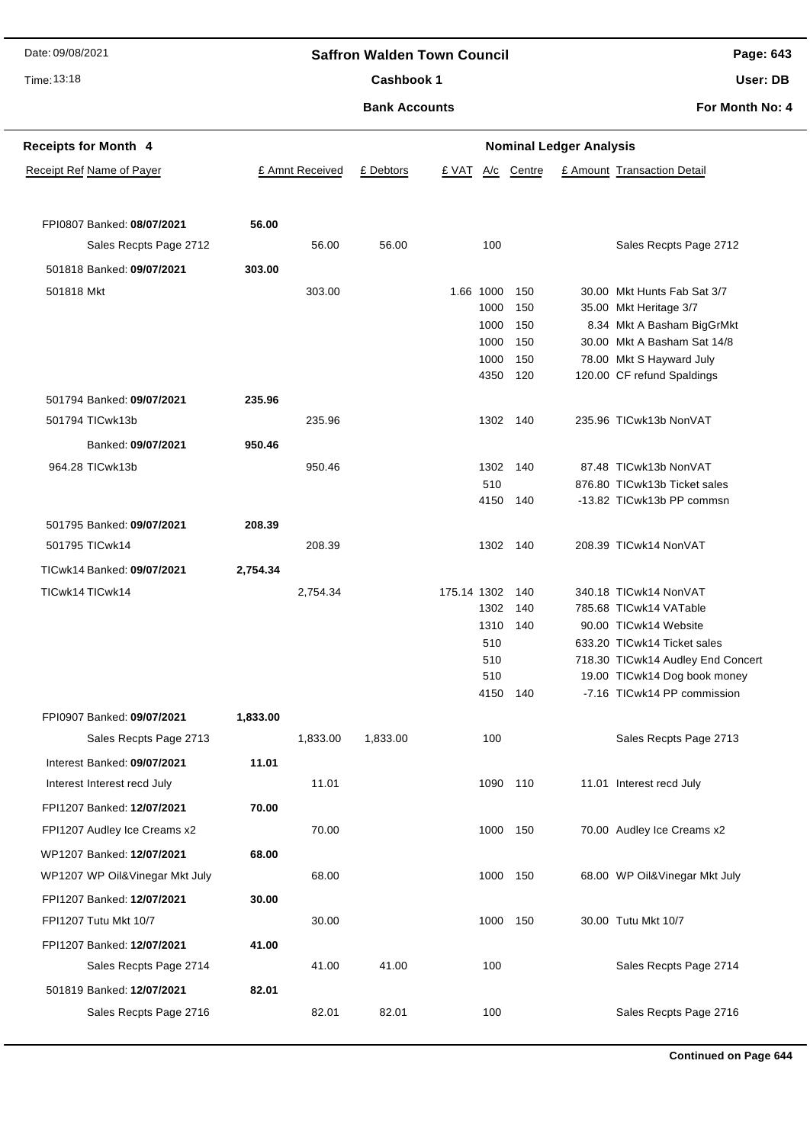## Time: 13:18

## **Saffron Walden Town Council**

**Page: 643**

# Cashbook 1

**Bank Accounts**

**User: DB**

| <b>Receipts for Month 4</b>     | <b>Nominal Ledger Analysis</b> |                 |           |             |              |                                       |  |                                                                   |  |  |
|---------------------------------|--------------------------------|-----------------|-----------|-------------|--------------|---------------------------------------|--|-------------------------------------------------------------------|--|--|
| Receipt Ref Name of Payer       |                                | £ Amnt Received | £ Debtors | £ VAT       | A/c          | Centre<br>£ Amount Transaction Detail |  |                                                                   |  |  |
|                                 |                                |                 |           |             |              |                                       |  |                                                                   |  |  |
|                                 |                                |                 |           |             |              |                                       |  |                                                                   |  |  |
| FPI0807 Banked: 08/07/2021      | 56.00                          |                 |           |             |              |                                       |  |                                                                   |  |  |
| Sales Recpts Page 2712          |                                | 56.00           | 56.00     |             | 100          |                                       |  | Sales Recpts Page 2712                                            |  |  |
| 501818 Banked: 09/07/2021       | 303.00                         |                 |           |             |              |                                       |  |                                                                   |  |  |
| 501818 Mkt                      |                                | 303.00          |           |             | 1.66 1000    | 150                                   |  | 30.00 Mkt Hunts Fab Sat 3/7                                       |  |  |
|                                 |                                |                 |           |             | 1000         | 150                                   |  | 35.00 Mkt Heritage 3/7                                            |  |  |
|                                 |                                |                 |           |             | 1000<br>1000 | 150<br>150                            |  | 8.34 Mkt A Basham BigGrMkt<br>30.00 Mkt A Basham Sat 14/8         |  |  |
|                                 |                                |                 |           |             | 1000         | 150                                   |  | 78.00 Mkt S Hayward July                                          |  |  |
|                                 |                                |                 |           |             | 4350         | 120                                   |  | 120.00 CF refund Spaldings                                        |  |  |
| 501794 Banked: 09/07/2021       | 235.96                         |                 |           |             |              |                                       |  |                                                                   |  |  |
| 501794 TICwk13b                 |                                | 235.96          |           |             |              | 1302 140                              |  | 235.96 TICwk13b NonVAT                                            |  |  |
|                                 |                                |                 |           |             |              |                                       |  |                                                                   |  |  |
| Banked: 09/07/2021              | 950.46                         |                 |           |             |              |                                       |  |                                                                   |  |  |
| 964.28 TICwk13b                 |                                | 950.46          |           |             | 1302         | 140                                   |  | 87.48 TICwk13b NonVAT                                             |  |  |
|                                 |                                |                 |           |             | 510          |                                       |  | 876.80 TICwk13b Ticket sales                                      |  |  |
|                                 |                                |                 |           |             | 4150         | 140                                   |  | -13.82 TICwk13b PP commsn                                         |  |  |
| 501795 Banked: 09/07/2021       | 208.39                         |                 |           |             |              |                                       |  |                                                                   |  |  |
| 501795 TICwk14                  |                                | 208.39          |           |             |              | 1302 140                              |  | 208.39 TICwk14 NonVAT                                             |  |  |
| TICwk14 Banked: 09/07/2021      | 2,754.34                       |                 |           |             |              |                                       |  |                                                                   |  |  |
| TICwk14 TICwk14                 |                                | 2,754.34        |           | 175.14 1302 |              | 140                                   |  | 340.18 TICwk14 NonVAT                                             |  |  |
|                                 |                                |                 |           |             | 1302         | 140                                   |  | 785.68 TICwk14 VATable                                            |  |  |
|                                 |                                |                 |           |             | 1310         | 140                                   |  | 90.00 TICwk14 Website                                             |  |  |
|                                 |                                |                 |           |             | 510          |                                       |  | 633.20 TICwk14 Ticket sales                                       |  |  |
|                                 |                                |                 |           |             | 510<br>510   |                                       |  | 718.30 TICwk14 Audley End Concert<br>19.00 TICwk14 Dog book money |  |  |
|                                 |                                |                 |           |             | 4150         | 140                                   |  | -7.16 TICwk14 PP commission                                       |  |  |
| FPI0907 Banked: 09/07/2021      | 1,833.00                       |                 |           |             |              |                                       |  |                                                                   |  |  |
|                                 |                                | 1,833.00        |           |             | 100          |                                       |  | Sales Recpts Page 2713                                            |  |  |
| Sales Recpts Page 2713          |                                |                 | 1,833.00  |             |              |                                       |  |                                                                   |  |  |
| Interest Banked: 09/07/2021     | 11.01                          |                 |           |             |              |                                       |  |                                                                   |  |  |
| Interest Interest recd July     |                                | 11.01           |           |             |              | 1090 110                              |  | 11.01 Interest recd July                                          |  |  |
| FPI1207 Banked: 12/07/2021      | 70.00                          |                 |           |             |              |                                       |  |                                                                   |  |  |
| FPI1207 Audley Ice Creams x2    |                                | 70.00           |           |             |              | 1000 150                              |  | 70.00 Audley Ice Creams x2                                        |  |  |
| WP1207 Banked: 12/07/2021       | 68.00                          |                 |           |             |              |                                       |  |                                                                   |  |  |
| WP1207 WP Oil& Vinegar Mkt July |                                | 68.00           |           |             |              | 1000 150                              |  | 68.00 WP Oil& Vinegar Mkt July                                    |  |  |
| FPI1207 Banked: 12/07/2021      | 30.00                          |                 |           |             |              |                                       |  |                                                                   |  |  |
| FPI1207 Tutu Mkt 10/7           |                                | 30.00           |           |             |              | 1000 150                              |  | 30.00 Tutu Mkt 10/7                                               |  |  |
|                                 |                                |                 |           |             |              |                                       |  |                                                                   |  |  |
| FPI1207 Banked: 12/07/2021      | 41.00                          |                 |           |             |              |                                       |  |                                                                   |  |  |
| Sales Recpts Page 2714          |                                | 41.00           | 41.00     |             | 100          |                                       |  | Sales Recpts Page 2714                                            |  |  |
| 501819 Banked: 12/07/2021       | 82.01                          |                 |           |             |              |                                       |  |                                                                   |  |  |
| Sales Recpts Page 2716          |                                | 82.01           | 82.01     |             | 100          |                                       |  | Sales Recpts Page 2716                                            |  |  |
|                                 |                                |                 |           |             |              |                                       |  |                                                                   |  |  |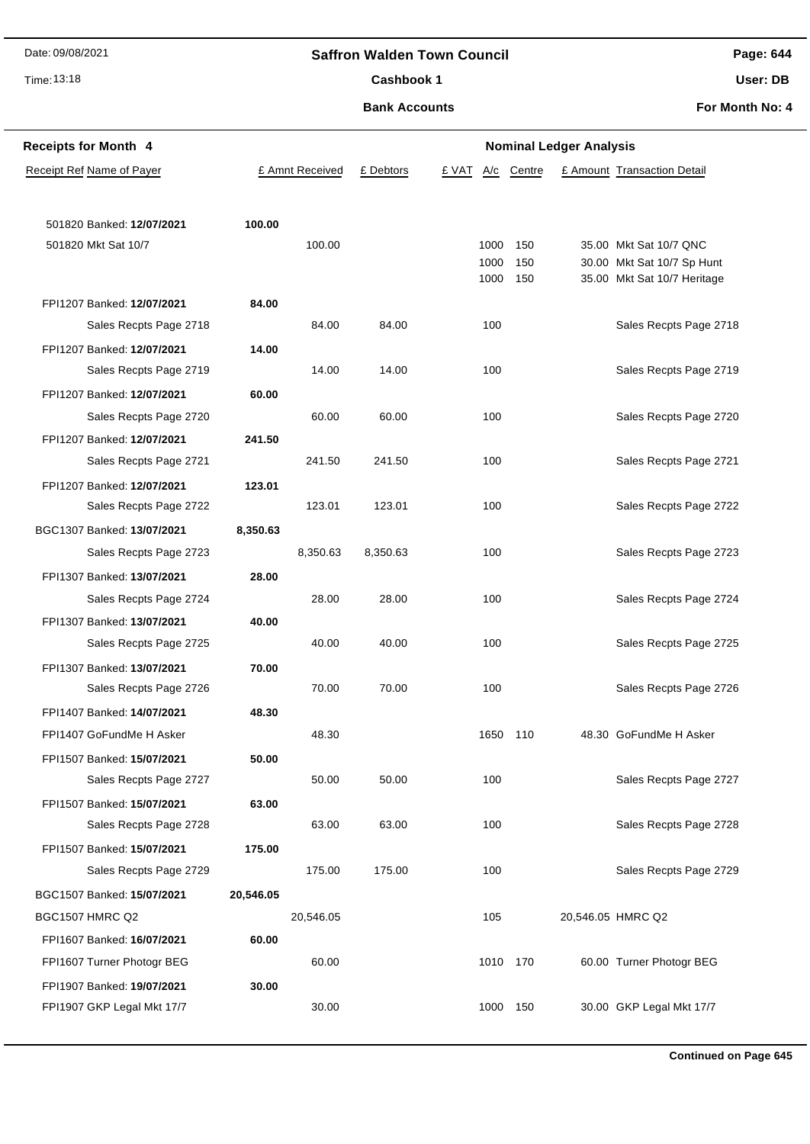## **Saffron Walden Town Council**

Time: 13:18

Cashbook 1

**Bank Accounts**

**Page: 644**

**User: DB**

| <b>Receipts for Month 4</b> |           |                 | <b>Nominal Ledger Analysis</b> |       |              |            |  |                                                           |
|-----------------------------|-----------|-----------------|--------------------------------|-------|--------------|------------|--|-----------------------------------------------------------|
| Receipt Ref Name of Payer   |           | £ Amnt Received | £ Debtors                      | £ VAT | A/c          | Centre     |  | £ Amount Transaction Detail                               |
|                             |           |                 |                                |       |              |            |  |                                                           |
| 501820 Banked: 12/07/2021   | 100.00    |                 |                                |       |              |            |  |                                                           |
| 501820 Mkt Sat 10/7         |           | 100.00          |                                |       | 1000         | 150        |  | 35.00 Mkt Sat 10/7 QNC                                    |
|                             |           |                 |                                |       | 1000<br>1000 | 150<br>150 |  | 30.00 Mkt Sat 10/7 Sp Hunt<br>35.00 Mkt Sat 10/7 Heritage |
| FPI1207 Banked: 12/07/2021  | 84.00     |                 |                                |       |              |            |  |                                                           |
| Sales Recpts Page 2718      |           | 84.00           | 84.00                          |       | 100          |            |  | Sales Recpts Page 2718                                    |
| FPI1207 Banked: 12/07/2021  | 14.00     |                 |                                |       |              |            |  |                                                           |
| Sales Recpts Page 2719      |           | 14.00           | 14.00                          |       | 100          |            |  | Sales Recpts Page 2719                                    |
| FPI1207 Banked: 12/07/2021  | 60.00     |                 |                                |       |              |            |  |                                                           |
| Sales Recpts Page 2720      |           | 60.00           | 60.00                          |       | 100          |            |  | Sales Recpts Page 2720                                    |
| FPI1207 Banked: 12/07/2021  | 241.50    |                 |                                |       |              |            |  |                                                           |
| Sales Recpts Page 2721      |           | 241.50          | 241.50                         |       | 100          |            |  | Sales Recpts Page 2721                                    |
| FPI1207 Banked: 12/07/2021  | 123.01    |                 |                                |       |              |            |  |                                                           |
| Sales Recpts Page 2722      |           | 123.01          | 123.01                         |       | 100          |            |  | Sales Recpts Page 2722                                    |
| BGC1307 Banked: 13/07/2021  | 8,350.63  |                 |                                |       |              |            |  |                                                           |
| Sales Recpts Page 2723      |           | 8,350.63        | 8,350.63                       |       | 100          |            |  | Sales Recpts Page 2723                                    |
| FPI1307 Banked: 13/07/2021  | 28.00     |                 |                                |       |              |            |  |                                                           |
| Sales Recpts Page 2724      |           | 28.00           | 28.00                          |       | 100          |            |  | Sales Recpts Page 2724                                    |
| FPI1307 Banked: 13/07/2021  | 40.00     |                 |                                |       |              |            |  |                                                           |
| Sales Recpts Page 2725      |           | 40.00           | 40.00                          |       | 100          |            |  | Sales Recpts Page 2725                                    |
| FPI1307 Banked: 13/07/2021  | 70.00     |                 |                                |       |              |            |  |                                                           |
| Sales Recpts Page 2726      |           | 70.00           | 70.00                          |       | 100          |            |  | Sales Recpts Page 2726                                    |
| FPI1407 Banked: 14/07/2021  | 48.30     |                 |                                |       |              |            |  |                                                           |
| FPI1407 GoFundMe H Asker    |           | 48.30           |                                |       | 1650         | 110        |  | 48.30 GoFundMe H Asker                                    |
| FPI1507 Banked: 15/07/2021  | 50.00     |                 |                                |       |              |            |  |                                                           |
| Sales Recpts Page 2727      |           | 50.00           | 50.00                          |       | 100          |            |  | Sales Recpts Page 2727                                    |
| FPI1507 Banked: 15/07/2021  | 63.00     |                 |                                |       |              |            |  |                                                           |
| Sales Recpts Page 2728      |           | 63.00           | 63.00                          |       | 100          |            |  | Sales Recpts Page 2728                                    |
| FPI1507 Banked: 15/07/2021  | 175.00    |                 |                                |       |              |            |  |                                                           |
| Sales Recpts Page 2729      |           | 175.00          | 175.00                         |       | 100          |            |  | Sales Recpts Page 2729                                    |
| BGC1507 Banked: 15/07/2021  | 20,546.05 |                 |                                |       |              |            |  |                                                           |
| <b>BGC1507 HMRC Q2</b>      |           | 20,546.05       |                                |       | 105          |            |  | 20,546.05 HMRC Q2                                         |
| FPI1607 Banked: 16/07/2021  | 60.00     |                 |                                |       |              |            |  |                                                           |
| FPI1607 Turner Photogr BEG  |           | 60.00           |                                |       | 1010 170     |            |  | 60.00 Turner Photogr BEG                                  |
| FPI1907 Banked: 19/07/2021  | 30.00     | 30.00           |                                |       | 1000         | 150        |  | 30.00 GKP Legal Mkt 17/7                                  |
| FPI1907 GKP Legal Mkt 17/7  |           |                 |                                |       |              |            |  |                                                           |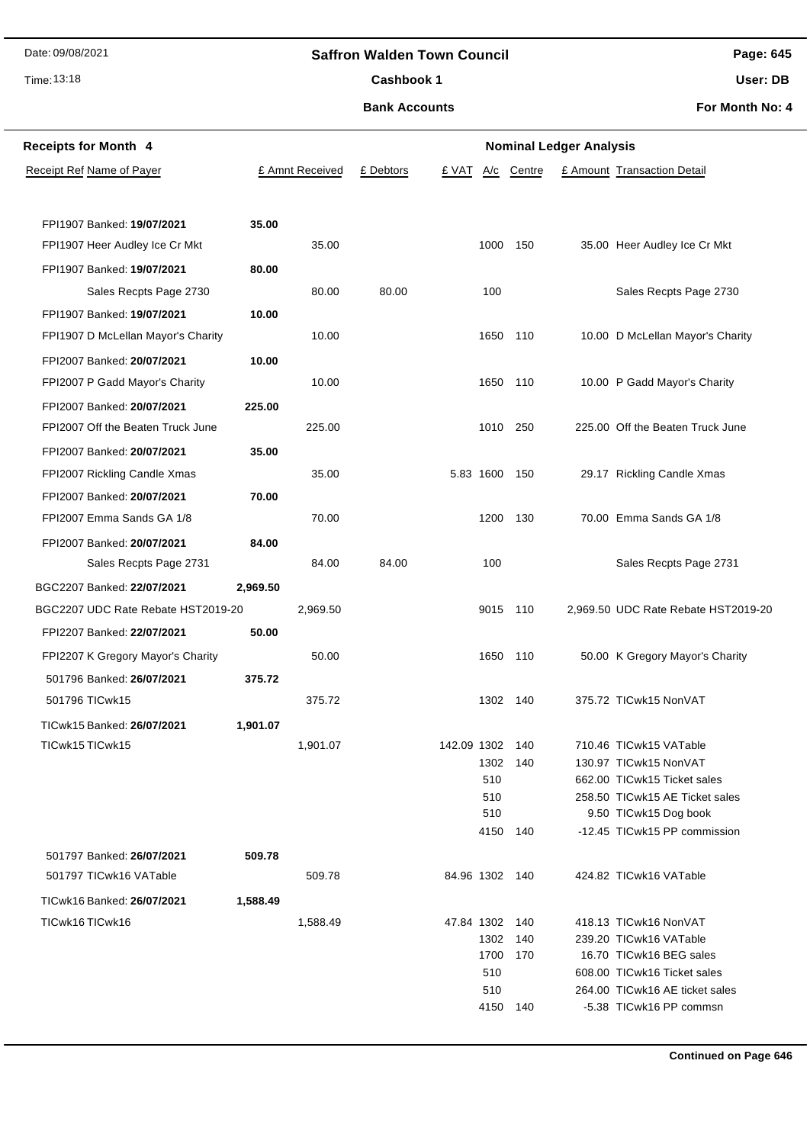## **Saffron Walden Town Council**

Time: 13:18

#### Cashbook 1

**Bank Accounts**

**Page: 645**

**User: DB**

| <b>Receipts for Month 4</b>        |          |                 | <b>Nominal Ledger Analysis</b> |                |            |            |  |                                                         |  |
|------------------------------------|----------|-----------------|--------------------------------|----------------|------------|------------|--|---------------------------------------------------------|--|
| Receipt Ref Name of Payer          |          | £ Amnt Received | £ Debtors                      | £ VAT          | A/c        | Centre     |  | £ Amount Transaction Detail                             |  |
|                                    |          |                 |                                |                |            |            |  |                                                         |  |
| FPI1907 Banked: 19/07/2021         | 35.00    |                 |                                |                |            |            |  |                                                         |  |
| FPI1907 Heer Audley Ice Cr Mkt     |          | 35.00           |                                |                |            | 1000 150   |  | 35.00 Heer Audley Ice Cr Mkt                            |  |
| FPI1907 Banked: 19/07/2021         | 80.00    |                 |                                |                |            |            |  |                                                         |  |
| Sales Recpts Page 2730             |          | 80.00           | 80.00                          |                | 100        |            |  | Sales Recpts Page 2730                                  |  |
| FPI1907 Banked: 19/07/2021         | 10.00    |                 |                                |                |            |            |  |                                                         |  |
| FPI1907 D McLellan Mayor's Charity |          | 10.00           |                                |                | 1650       | 110        |  | 10.00 D McLellan Mayor's Charity                        |  |
| FPI2007 Banked: 20/07/2021         | 10.00    |                 |                                |                |            |            |  |                                                         |  |
| FPI2007 P Gadd Mayor's Charity     |          | 10.00           |                                |                |            | 1650 110   |  | 10.00 P Gadd Mayor's Charity                            |  |
|                                    |          |                 |                                |                |            |            |  |                                                         |  |
| FPI2007 Banked: 20/07/2021         | 225.00   |                 |                                |                |            |            |  |                                                         |  |
| FPI2007 Off the Beaten Truck June  |          | 225.00          |                                |                | 1010       | 250        |  | 225.00 Off the Beaten Truck June                        |  |
| FPI2007 Banked: 20/07/2021         | 35.00    |                 |                                |                |            |            |  |                                                         |  |
| FPI2007 Rickling Candle Xmas       |          | 35.00           |                                | 5.83 1600      |            | 150        |  | 29.17 Rickling Candle Xmas                              |  |
| FPI2007 Banked: 20/07/2021         | 70.00    |                 |                                |                |            |            |  |                                                         |  |
| FPI2007 Emma Sands GA 1/8          |          | 70.00           |                                |                |            | 1200 130   |  | 70.00 Emma Sands GA 1/8                                 |  |
| FPI2007 Banked: 20/07/2021         | 84.00    |                 |                                |                |            |            |  |                                                         |  |
| Sales Recpts Page 2731             |          | 84.00           | 84.00                          |                | 100        |            |  | Sales Recpts Page 2731                                  |  |
| BGC2207 Banked: 22/07/2021         | 2,969.50 |                 |                                |                |            |            |  |                                                         |  |
| BGC2207 UDC Rate Rebate HST2019-20 |          | 2,969.50        |                                |                |            | 9015 110   |  | 2,969.50 UDC Rate Rebate HST2019-20                     |  |
| FPI2207 Banked: 22/07/2021         | 50.00    |                 |                                |                |            |            |  |                                                         |  |
| FPI2207 K Gregory Mayor's Charity  |          | 50.00           |                                |                |            | 1650 110   |  | 50.00 K Gregory Mayor's Charity                         |  |
| 501796 Banked: 26/07/2021          | 375.72   |                 |                                |                |            |            |  |                                                         |  |
| 501796 TICwk15                     |          | 375.72          |                                |                | 1302       | 140        |  | 375.72 TICwk15 NonVAT                                   |  |
| TICwk15 Banked: 26/07/2021         | 1,901.07 |                 |                                |                |            |            |  |                                                         |  |
| TICwk15 TICwk15                    |          | 1,901.07        |                                | 142.09 1302    |            | 140        |  | 710.46 TICwk15 VATable                                  |  |
|                                    |          |                 |                                |                | 1302       | 140        |  | 130.97 TICwk15 NonVAT                                   |  |
|                                    |          |                 |                                |                | 510        |            |  | 662.00 TICwk15 Ticket sales                             |  |
|                                    |          |                 |                                |                | 510<br>510 |            |  | 258.50 TICwk15 AE Ticket sales<br>9.50 TICwk15 Dog book |  |
|                                    |          |                 |                                |                | 4150       | 140        |  | -12.45 TICwk15 PP commission                            |  |
| 501797 Banked: 26/07/2021          | 509.78   |                 |                                |                |            |            |  |                                                         |  |
| 501797 TICwk16 VATable             |          | 509.78          |                                | 84.96 1302 140 |            |            |  | 424.82 TICwk16 VATable                                  |  |
| TICwk16 Banked: 26/07/2021         |          |                 |                                |                |            |            |  |                                                         |  |
|                                    | 1,588.49 |                 |                                |                |            |            |  |                                                         |  |
| TICwk16TICwk16                     |          | 1,588.49        |                                | 47.84 1302     | 1302       | 140<br>140 |  | 418.13 TICwk16 NonVAT<br>239.20 TICwk16 VATable         |  |
|                                    |          |                 |                                |                | 1700       | 170        |  | 16.70 TICwk16 BEG sales                                 |  |
|                                    |          |                 |                                |                | 510        |            |  | 608.00 TICwk16 Ticket sales                             |  |
|                                    |          |                 |                                |                | 510        |            |  | 264.00 TICwk16 AE ticket sales                          |  |
|                                    |          |                 |                                |                |            | 4150 140   |  | -5.38 TICwk16 PP commsn                                 |  |
|                                    |          |                 |                                |                |            |            |  |                                                         |  |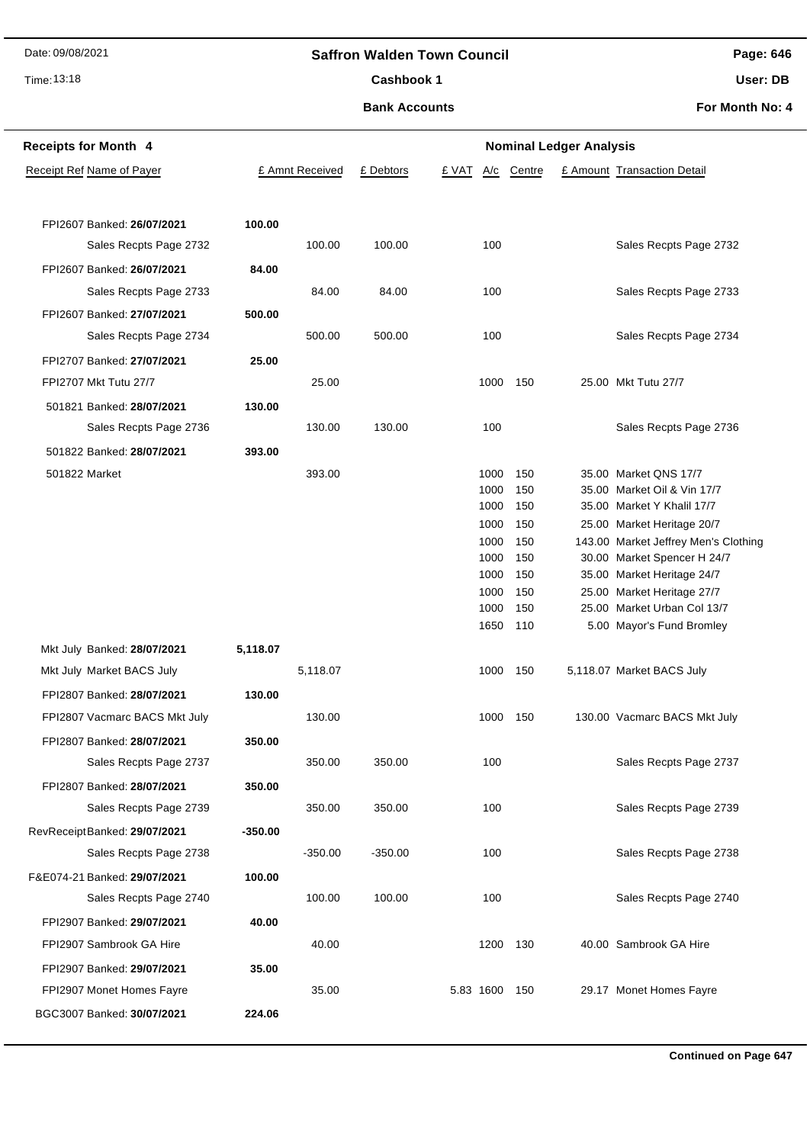## Time: 13:18

## **Saffron Walden Town Council**

**Page: 646**

Cashbook 1

**Bank Accounts**

**User: DB**

| <b>Receipts for Month 4</b>      | <b>Nominal Ledger Analysis</b> |                 |           |               |        |  |                                      |  |
|----------------------------------|--------------------------------|-----------------|-----------|---------------|--------|--|--------------------------------------|--|
| <b>Receipt Ref Name of Payer</b> |                                | £ Amnt Received | £ Debtors | £ VAT<br>A/c  | Centre |  | £ Amount Transaction Detail          |  |
|                                  |                                |                 |           |               |        |  |                                      |  |
|                                  |                                |                 |           |               |        |  |                                      |  |
| FPI2607 Banked: 26/07/2021       | 100.00                         |                 |           |               |        |  |                                      |  |
| Sales Recpts Page 2732           |                                | 100.00          | 100.00    | 100           |        |  | Sales Recpts Page 2732               |  |
| FPI2607 Banked: 26/07/2021       | 84.00                          |                 |           |               |        |  |                                      |  |
| Sales Recpts Page 2733           |                                | 84.00           | 84.00     | 100           |        |  | Sales Recpts Page 2733               |  |
| FPI2607 Banked: 27/07/2021       | 500.00                         |                 |           |               |        |  |                                      |  |
| Sales Recpts Page 2734           |                                | 500.00          | 500.00    | 100           |        |  | Sales Recpts Page 2734               |  |
| FPI2707 Banked: 27/07/2021       | 25.00                          |                 |           |               |        |  |                                      |  |
| FPI2707 Mkt Tutu 27/7            |                                | 25.00           |           | 1000          | 150    |  | 25.00 Mkt Tutu 27/7                  |  |
| 501821 Banked: 28/07/2021        | 130.00                         |                 |           |               |        |  |                                      |  |
| Sales Recpts Page 2736           |                                | 130.00          | 130.00    | 100           |        |  | Sales Recpts Page 2736               |  |
| 501822 Banked: 28/07/2021        | 393.00                         |                 |           |               |        |  |                                      |  |
| 501822 Market                    |                                | 393.00          |           | 1000          | 150    |  | 35.00 Market QNS 17/7                |  |
|                                  |                                |                 |           | 1000          | 150    |  | 35.00 Market Oil & Vin 17/7          |  |
|                                  |                                |                 |           | 1000          | 150    |  | 35.00 Market Y Khalil 17/7           |  |
|                                  |                                |                 |           | 1000          | 150    |  | 25.00 Market Heritage 20/7           |  |
|                                  |                                |                 |           | 1000          | 150    |  | 143.00 Market Jeffrey Men's Clothing |  |
|                                  |                                |                 |           | 1000          | 150    |  | 30.00 Market Spencer H 24/7          |  |
|                                  |                                |                 |           | 1000          | 150    |  | 35.00 Market Heritage 24/7           |  |
|                                  |                                |                 |           | 1000          | 150    |  | 25.00 Market Heritage 27/7           |  |
|                                  |                                |                 |           | 1000          | 150    |  | 25.00 Market Urban Col 13/7          |  |
|                                  |                                |                 |           | 1650          | 110    |  | 5.00 Mayor's Fund Bromley            |  |
| Mkt July Banked: 28/07/2021      | 5,118.07                       |                 |           |               |        |  |                                      |  |
| Mkt July Market BACS July        |                                | 5,118.07        |           | 1000          | 150    |  | 5,118.07 Market BACS July            |  |
| FPI2807 Banked: 28/07/2021       | 130.00                         |                 |           |               |        |  |                                      |  |
| FPI2807 Vacmarc BACS Mkt July    |                                | 130.00          |           | 1000          | 150    |  | 130.00 Vacmarc BACS Mkt July         |  |
| FPI2807 Banked: 28/07/2021       | 350.00                         |                 |           |               |        |  |                                      |  |
| Sales Recpts Page 2737           |                                | 350.00          | 350.00    | 100           |        |  | Sales Recpts Page 2737               |  |
| FPI2807 Banked: 28/07/2021       | 350.00                         |                 |           |               |        |  |                                      |  |
| Sales Recpts Page 2739           |                                | 350.00          | 350.00    | 100           |        |  | Sales Recpts Page 2739               |  |
| RevReceiptBanked: 29/07/2021     | -350.00                        |                 |           |               |        |  |                                      |  |
| Sales Recpts Page 2738           |                                | $-350.00$       | $-350.00$ | 100           |        |  | Sales Recpts Page 2738               |  |
| F&E074-21 Banked: 29/07/2021     | 100.00                         |                 |           |               |        |  |                                      |  |
| Sales Recpts Page 2740           |                                | 100.00          | 100.00    | 100           |        |  | Sales Recpts Page 2740               |  |
| FPI2907 Banked: 29/07/2021       | 40.00                          |                 |           |               |        |  |                                      |  |
| FPI2907 Sambrook GA Hire         |                                | 40.00           |           | 1200          | 130    |  | 40.00 Sambrook GA Hire               |  |
| FPI2907 Banked: 29/07/2021       | 35.00                          |                 |           |               |        |  |                                      |  |
| FPI2907 Monet Homes Fayre        |                                | 35.00           |           | 5.83 1600 150 |        |  | 29.17 Monet Homes Fayre              |  |
| BGC3007 Banked: 30/07/2021       | 224.06                         |                 |           |               |        |  |                                      |  |
|                                  |                                |                 |           |               |        |  |                                      |  |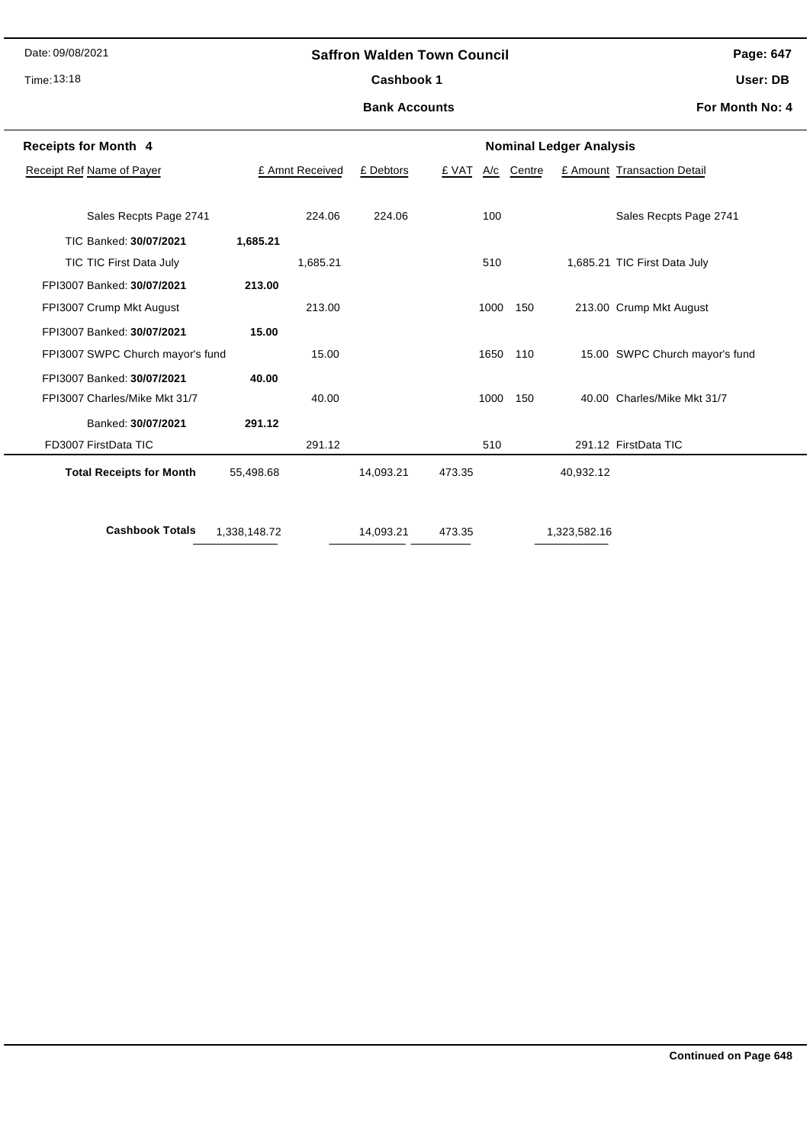## Time: 13:18

## **Saffron Walden Town Council**

**Page: 647**

Cashbook 1

#### **Bank Accounts**

**User: DB For Month No: 4**

| <b>Receipts for Month 4</b>      | <b>Nominal Ledger Analysis</b> |                 |           |        |      |     |              |                                |  |  |  |
|----------------------------------|--------------------------------|-----------------|-----------|--------|------|-----|--------------|--------------------------------|--|--|--|
| Receipt Ref Name of Payer        |                                | £ Amnt Received |           | £ VAT  | A/c  |     |              | £ Amount Transaction Detail    |  |  |  |
|                                  |                                |                 |           |        |      |     |              |                                |  |  |  |
| Sales Recpts Page 2741           |                                | 224.06          | 224.06    |        | 100  |     |              | Sales Recpts Page 2741         |  |  |  |
| TIC Banked: 30/07/2021           | 1,685.21                       |                 |           |        |      |     |              |                                |  |  |  |
| TIC TIC First Data July          |                                | 1,685.21        |           |        | 510  |     |              | 1,685.21 TIC First Data July   |  |  |  |
| FPI3007 Banked: 30/07/2021       | 213.00                         |                 |           |        |      |     |              |                                |  |  |  |
| FPI3007 Crump Mkt August         |                                | 213.00          |           |        | 1000 | 150 |              | 213.00 Crump Mkt August        |  |  |  |
| FPI3007 Banked: 30/07/2021       | 15.00                          |                 |           |        |      |     |              |                                |  |  |  |
| FPI3007 SWPC Church mayor's fund |                                | 15.00           |           |        | 1650 | 110 |              | 15.00 SWPC Church mayor's fund |  |  |  |
| FPI3007 Banked: 30/07/2021       | 40.00                          |                 |           |        |      |     |              |                                |  |  |  |
| FPI3007 Charles/Mike Mkt 31/7    |                                | 40.00           |           |        | 1000 | 150 |              | 40.00 Charles/Mike Mkt 31/7    |  |  |  |
| Banked: 30/07/2021               | 291.12                         |                 |           |        |      |     |              |                                |  |  |  |
| FD3007 FirstData TIC             |                                | 291.12          |           |        | 510  |     |              | 291.12 FirstData TIC           |  |  |  |
| <b>Total Receipts for Month</b>  | 55,498.68                      |                 | 14,093.21 | 473.35 |      |     | 40,932.12    |                                |  |  |  |
|                                  |                                |                 |           |        |      |     |              |                                |  |  |  |
| <b>Cashbook Totals</b>           | 1,338,148.72                   |                 | 14,093.21 | 473.35 |      |     | 1,323,582.16 |                                |  |  |  |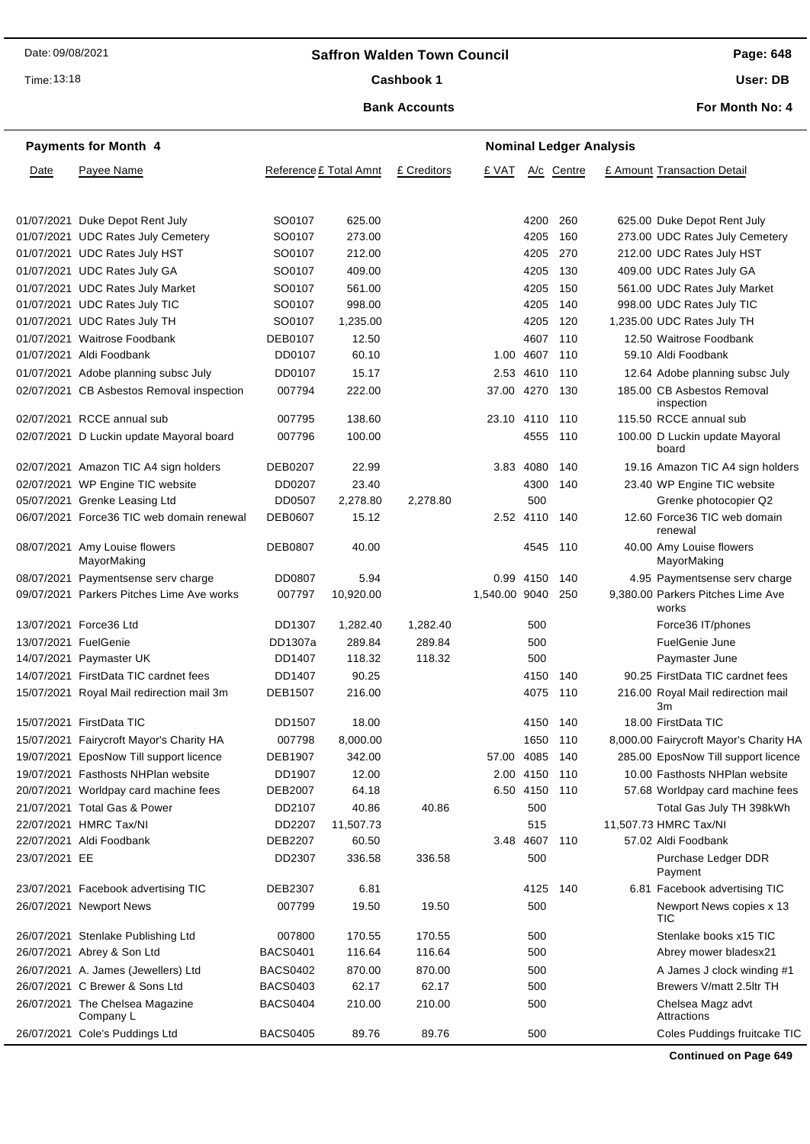## **Saffron Walden Town Council**

Time: 13:18

#### Cashbook 1

**Page: 648**

**User: DB**

**For Month No: 4**

## **Bank Accounts**

|               | <b>Payments for Month 4</b>                  |                 | <b>Nominal Ledger Analysis</b> |             |                |               |            |  |                                            |  |
|---------------|----------------------------------------------|-----------------|--------------------------------|-------------|----------------|---------------|------------|--|--------------------------------------------|--|
| Date          | Payee Name                                   |                 | Reference £ Total Amnt         | £ Creditors | £ VAT          |               | A/c Centre |  | £ Amount Transaction Detail                |  |
|               |                                              |                 |                                |             |                |               |            |  |                                            |  |
|               | 01/07/2021 Duke Depot Rent July              | SO0107          | 625.00                         |             |                | 4200          | 260        |  | 625.00 Duke Depot Rent July                |  |
|               | 01/07/2021 UDC Rates July Cemetery           | SO0107          | 273.00                         |             |                | 4205          | 160        |  | 273.00 UDC Rates July Cemetery             |  |
|               | 01/07/2021 UDC Rates July HST                | SO0107          | 212.00                         |             |                | 4205          | 270        |  | 212.00 UDC Rates July HST                  |  |
|               | 01/07/2021 UDC Rates July GA                 | SO0107          | 409.00                         |             |                | 4205          | 130        |  | 409.00 UDC Rates July GA                   |  |
|               | 01/07/2021 UDC Rates July Market             | SO0107          | 561.00                         |             |                | 4205          | 150        |  | 561.00 UDC Rates July Market               |  |
|               | 01/07/2021 UDC Rates July TIC                | SO0107          | 998.00                         |             |                | 4205          | -140       |  | 998.00 UDC Rates July TIC                  |  |
|               | 01/07/2021 UDC Rates July TH                 | SO0107          | 1,235.00                       |             |                | 4205          | 120        |  | 1,235.00 UDC Rates July TH                 |  |
|               | 01/07/2021 Waitrose Foodbank                 | <b>DEB0107</b>  | 12.50                          |             |                | 4607 110      |            |  | 12.50 Waitrose Foodbank                    |  |
|               | 01/07/2021 Aldi Foodbank                     | DD0107          | 60.10                          |             |                | 1.00 4607     | 110        |  | 59.10 Aldi Foodbank                        |  |
|               | 01/07/2021 Adobe planning subsc July         | DD0107          | 15.17                          |             |                | 2.53 4610 110 |            |  | 12.64 Adobe planning subsc July            |  |
|               | 02/07/2021 CB Asbestos Removal inspection    | 007794          | 222.00                         |             | 37.00 4270 130 |               |            |  | 185.00 CB Asbestos Removal<br>inspection   |  |
|               | 02/07/2021 RCCE annual sub                   | 007795          | 138.60                         |             | 23.10 4110     |               | 110        |  | 115.50 RCCE annual sub                     |  |
|               | 02/07/2021 D Luckin update Mayoral board     | 007796          | 100.00                         |             |                | 4555 110      |            |  | 100.00 D Luckin update Mayoral<br>board    |  |
|               | 02/07/2021 Amazon TIC A4 sign holders        | DEB0207         | 22.99                          |             |                | 3.83 4080     | 140        |  | 19.16 Amazon TIC A4 sign holders           |  |
|               | 02/07/2021 WP Engine TIC website             | DD0207          | 23.40                          |             |                | 4300          | 140        |  | 23.40 WP Engine TIC website                |  |
|               | 05/07/2021 Grenke Leasing Ltd                | DD0507          | 2,278.80                       | 2,278.80    |                | 500           |            |  | Grenke photocopier Q2                      |  |
|               | 06/07/2021 Force36 TIC web domain renewal    | <b>DEB0607</b>  | 15.12                          |             |                | 2.52 4110     | 140        |  | 12.60 Force36 TIC web domain<br>renewal    |  |
|               | 08/07/2021 Amy Louise flowers<br>MayorMaking | <b>DEB0807</b>  | 40.00                          |             |                | 4545          | - 110      |  | 40.00 Amy Louise flowers<br>MayorMaking    |  |
|               | 08/07/2021 Paymentsense serv charge          | DD0807          | 5.94                           |             |                | 0.99 4150     | - 140      |  | 4.95 Paymentsense serv charge              |  |
|               | 09/07/2021 Parkers Pitches Lime Ave works    | 007797          | 10,920.00                      |             | 1,540.00 9040  |               | 250        |  | 9,380.00 Parkers Pitches Lime Ave<br>works |  |
|               | 13/07/2021 Force36 Ltd                       | DD1307          | 1,282.40                       | 1,282.40    |                | 500           |            |  | Force36 IT/phones                          |  |
|               | 13/07/2021 FuelGenie                         | DD1307a         | 289.84                         | 289.84      |                | 500           |            |  | FuelGenie June                             |  |
|               | 14/07/2021 Paymaster UK                      | DD1407          | 118.32                         | 118.32      |                | 500           |            |  | Paymaster June                             |  |
|               | 14/07/2021 FirstData TIC cardnet fees        | DD1407          | 90.25                          |             |                | 4150          | 140        |  | 90.25 FirstData TIC cardnet fees           |  |
|               | 15/07/2021 Royal Mail redirection mail 3m    | <b>DEB1507</b>  | 216.00                         |             |                | 4075          | 110        |  | 216.00 Royal Mail redirection mail<br>Зm   |  |
|               | 15/07/2021 FirstData TIC                     | DD1507          | 18.00                          |             |                | 4150          | -140       |  | 18.00 FirstData TIC                        |  |
|               | 15/07/2021 Fairycroft Mayor's Charity HA     | 007798          | 8,000.00                       |             |                | 1650 110      |            |  | 8,000.00 Fairycroft Mayor's Charity HA     |  |
|               | 19/07/2021 EposNow Till support licence      | DEB1907         | 342.00                         |             | 57.00 4085 140 |               |            |  | 285.00 EposNow Till support licence        |  |
|               | 19/07/2021 Fasthosts NHPlan website          | DD1907          | 12.00                          |             |                | 2.00 4150 110 |            |  | 10.00 Fasthosts NHPlan website             |  |
|               | 20/07/2021 Worldpay card machine fees        | <b>DEB2007</b>  | 64.18                          |             |                | 6.50 4150     | 110        |  | 57.68 Worldpay card machine fees           |  |
|               | 21/07/2021 Total Gas & Power                 | DD2107          | 40.86                          | 40.86       |                | 500           |            |  | Total Gas July TH 398kWh                   |  |
|               | 22/07/2021 HMRC Tax/NI                       | DD2207          | 11,507.73                      |             |                | 515           |            |  | 11,507.73 HMRC Tax/NI                      |  |
|               | 22/07/2021 Aldi Foodbank                     | <b>DEB2207</b>  | 60.50                          |             | 3.48           | 4607          | 110        |  | 57.02 Aldi Foodbank                        |  |
| 23/07/2021 EE |                                              | DD2307          | 336.58                         | 336.58      |                | 500           |            |  | Purchase Ledger DDR<br>Payment             |  |
|               | 23/07/2021 Facebook advertising TIC          | DEB2307         | 6.81                           |             |                | 4125          | 140        |  | 6.81 Facebook advertising TIC              |  |
|               | 26/07/2021 Newport News                      | 007799          | 19.50                          | 19.50       |                | 500           |            |  | Newport News copies x 13<br>TIC            |  |
|               | 26/07/2021 Stenlake Publishing Ltd           | 007800          | 170.55                         | 170.55      |                | 500           |            |  | Stenlake books x15 TIC                     |  |
|               | 26/07/2021 Abrey & Son Ltd                   | <b>BACS0401</b> | 116.64                         | 116.64      |                | 500           |            |  | Abrey mower bladesx21                      |  |
|               | 26/07/2021 A. James (Jewellers) Ltd          | <b>BACS0402</b> | 870.00                         | 870.00      |                | 500           |            |  | A James J clock winding #1                 |  |
|               | 26/07/2021 C Brewer & Sons Ltd               | <b>BACS0403</b> | 62.17                          | 62.17       |                | 500           |            |  | Brewers V/matt 2.5ltr TH                   |  |
|               | 26/07/2021 The Chelsea Magazine<br>Company L | <b>BACS0404</b> | 210.00                         | 210.00      |                | 500           |            |  | Chelsea Magz advt<br>Attractions           |  |
|               | 26/07/2021 Cole's Puddings Ltd               | <b>BACS0405</b> | 89.76                          | 89.76       |                | 500           |            |  | Coles Puddings fruitcake TIC               |  |

**Continued on Page 649**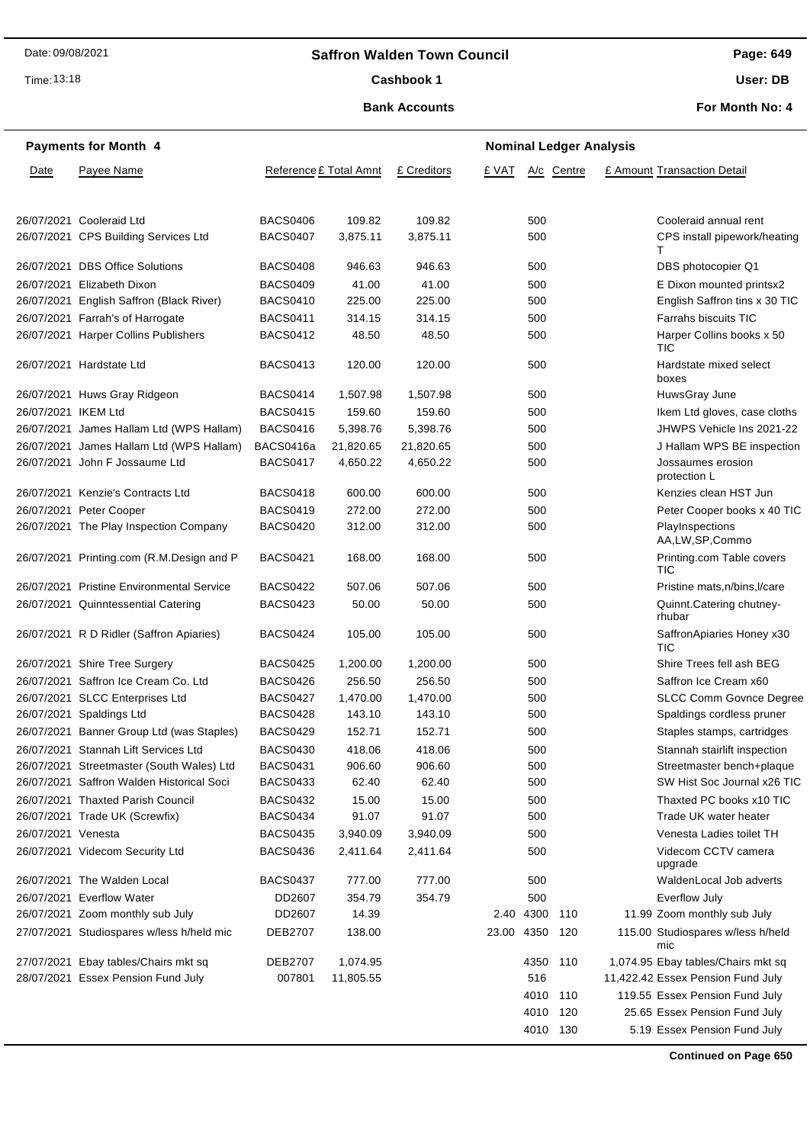## **Saffron Walden Town Council**

Time: 13:18

#### Cashbook 1

#### **Bank Accounts**

**Page: 649 User: DB**

**For Month No: 4**

|                     | <b>Payments for Month 4</b>               | <b>Nominal Ledger Analysis</b> |                        |             |                |               |            |  |                                          |
|---------------------|-------------------------------------------|--------------------------------|------------------------|-------------|----------------|---------------|------------|--|------------------------------------------|
| Date                | Payee Name                                |                                | Reference £ Total Amnt | £ Creditors | £ VAT          |               | A/c Centre |  | £ Amount Transaction Detail              |
|                     | 26/07/2021 Cooleraid Ltd                  | <b>BACS0406</b>                | 109.82                 | 109.82      |                | 500           |            |  | Cooleraid annual rent                    |
|                     | 26/07/2021 CPS Building Services Ltd      | BACS0407                       | 3,875.11               | 3,875.11    |                | 500           |            |  | CPS install pipework/heating<br>т        |
|                     | 26/07/2021 DBS Office Solutions           | <b>BACS0408</b>                | 946.63                 | 946.63      |                | 500           |            |  | DBS photocopier Q1                       |
|                     | 26/07/2021 Elizabeth Dixon                | <b>BACS0409</b>                | 41.00                  | 41.00       |                | 500           |            |  | E Dixon mounted printsx2                 |
|                     | 26/07/2021 English Saffron (Black River)  | <b>BACS0410</b>                | 225.00                 | 225.00      |                | 500           |            |  | English Saffron tins x 30 TIC            |
|                     | 26/07/2021 Farrah's of Harrogate          | <b>BACS0411</b>                | 314.15                 | 314.15      |                | 500           |            |  | Farrahs biscuits TIC                     |
|                     | 26/07/2021 Harper Collins Publishers      | <b>BACS0412</b>                | 48.50                  | 48.50       |                | 500           |            |  | Harper Collins books x 50<br>TIC         |
|                     | 26/07/2021 Hardstate Ltd                  | <b>BACS0413</b>                | 120.00                 | 120.00      |                | 500           |            |  | Hardstate mixed select<br>boxes          |
|                     | 26/07/2021 Huws Gray Ridgeon              | BACS0414                       | 1,507.98               | 1,507.98    |                | 500           |            |  | HuwsGray June                            |
| 26/07/2021 IKEM Ltd |                                           | <b>BACS0415</b>                | 159.60                 | 159.60      |                | 500           |            |  | Ikem Ltd gloves, case cloths             |
|                     | 26/07/2021 James Hallam Ltd (WPS Hallam)  | <b>BACS0416</b>                | 5,398.76               | 5,398.76    |                | 500           |            |  | JHWPS Vehicle Ins 2021-22                |
|                     | 26/07/2021 James Hallam Ltd (WPS Hallam)  | BACS0416a                      | 21,820.65              | 21,820.65   |                | 500           |            |  | J Hallam WPS BE inspection               |
|                     | 26/07/2021 John F Jossaume Ltd            | <b>BACS0417</b>                | 4,650.22               | 4,650.22    |                | 500           |            |  | Jossaumes erosion<br>protection L        |
|                     | 26/07/2021 Kenzie's Contracts Ltd         | BACS0418                       | 600.00                 | 600.00      |                | 500           |            |  | Kenzies clean HST Jun                    |
|                     | 26/07/2021 Peter Cooper                   | <b>BACS0419</b>                | 272.00                 | 272.00      |                | 500           |            |  | Peter Cooper books x 40 TIC              |
|                     | 26/07/2021 The Play Inspection Company    | <b>BACS0420</b>                | 312.00                 | 312.00      |                | 500           |            |  | PlayInspections<br>AA,LW,SP,Commo        |
|                     | 26/07/2021 Printing.com (R.M.Design and P | <b>BACS0421</b>                | 168.00                 | 168.00      |                | 500           |            |  | Printing.com Table covers<br>TIC         |
|                     | 26/07/2021 Pristine Environmental Service | <b>BACS0422</b>                | 507.06                 | 507.06      |                | 500           |            |  | Pristine mats, n/bins, I/care            |
|                     | 26/07/2021 Quinntessential Catering       | BACS0423                       | 50.00                  | 50.00       |                | 500           |            |  | Quinnt.Catering chutney-<br>rhubar       |
|                     | 26/07/2021 R D Ridler (Saffron Apiaries)  | BACS0424                       | 105.00                 | 105.00      |                | 500           |            |  | SaffronApiaries Honey x30<br>TIC         |
|                     | 26/07/2021 Shire Tree Surgery             | <b>BACS0425</b>                | 1,200.00               | 1,200.00    |                | 500           |            |  | Shire Trees fell ash BEG                 |
|                     | 26/07/2021 Saffron Ice Cream Co. Ltd      | <b>BACS0426</b>                | 256.50                 | 256.50      |                | 500           |            |  | Saffron Ice Cream x60                    |
|                     | 26/07/2021 SLCC Enterprises Ltd           | <b>BACS0427</b>                | 1,470.00               | 1,470.00    |                | 500           |            |  | <b>SLCC Comm Govnce Degree</b>           |
|                     | 26/07/2021 Spaldings Ltd                  | <b>BACS0428</b>                | 143.10                 | 143.10      |                | 500           |            |  | Spaldings cordless pruner                |
|                     | 26/07/2021 Banner Group Ltd (was Staples) | <b>BACS0429</b>                | 152.71                 | 152.71      |                | 500           |            |  | Staples stamps, cartridges               |
|                     | 26/07/2021 Stannah Lift Services Ltd      | BACS0430                       | 418.06                 | 418.06      |                | 500           |            |  | Stannah stairlift inspection             |
|                     | 26/07/2021 Streetmaster (South Wales) Ltd | <b>BACS0431</b>                | 906.60                 | 906.60      |                | 500           |            |  | Streetmaster bench+plaque                |
|                     | 26/07/2021 Saffron Walden Historical Soci | BACS0433                       | 62.40                  | 62.40       |                | 500           |            |  | SW Hist Soc Journal x26 TIC              |
|                     | 26/07/2021 Thaxted Parish Council         | <b>BACS0432</b>                | 15.00                  | 15.00       |                | 500           |            |  | Thaxted PC books x10 TIC                 |
|                     | 26/07/2021 Trade UK (Screwfix)            | <b>BACS0434</b>                | 91.07                  | 91.07       |                | 500           |            |  | Trade UK water heater                    |
| 26/07/2021 Venesta  |                                           | <b>BACS0435</b>                | 3,940.09               | 3,940.09    |                | 500           |            |  | Venesta Ladies toilet TH                 |
|                     | 26/07/2021 Videcom Security Ltd           | <b>BACS0436</b>                | 2,411.64               | 2,411.64    |                | 500           |            |  | Videcom CCTV camera<br>upgrade           |
|                     | 26/07/2021 The Walden Local               | BACS0437                       | 777.00                 | 777.00      |                | 500           |            |  | WaldenLocal Job adverts                  |
|                     | 26/07/2021 Everflow Water                 | DD2607                         | 354.79                 | 354.79      |                | 500           |            |  | Everflow July                            |
|                     | 26/07/2021 Zoom monthly sub July          | DD2607                         | 14.39                  |             |                | 2.40 4300 110 |            |  | 11.99 Zoom monthly sub July              |
|                     | 27/07/2021 Studiospares w/less h/held mic | <b>DEB2707</b>                 | 138.00                 |             | 23.00 4350 120 |               |            |  | 115.00 Studiospares w/less h/held<br>mic |
|                     | 27/07/2021 Ebay tables/Chairs mkt sq      | DEB2707                        | 1,074.95               |             |                | 4350 110      |            |  | 1,074.95 Ebay tables/Chairs mkt sq       |
|                     | 28/07/2021 Essex Pension Fund July        | 007801                         | 11,805.55              |             |                | 516           |            |  | 11,422.42 Essex Pension Fund July        |
|                     |                                           |                                |                        |             |                | 4010 110      |            |  | 119.55 Essex Pension Fund July           |
|                     |                                           |                                |                        |             |                | 4010 120      |            |  | 25.65 Essex Pension Fund July            |
|                     |                                           |                                |                        |             |                | 4010 130      |            |  | 5.19 Essex Pension Fund July             |

**Continued on Page 650**